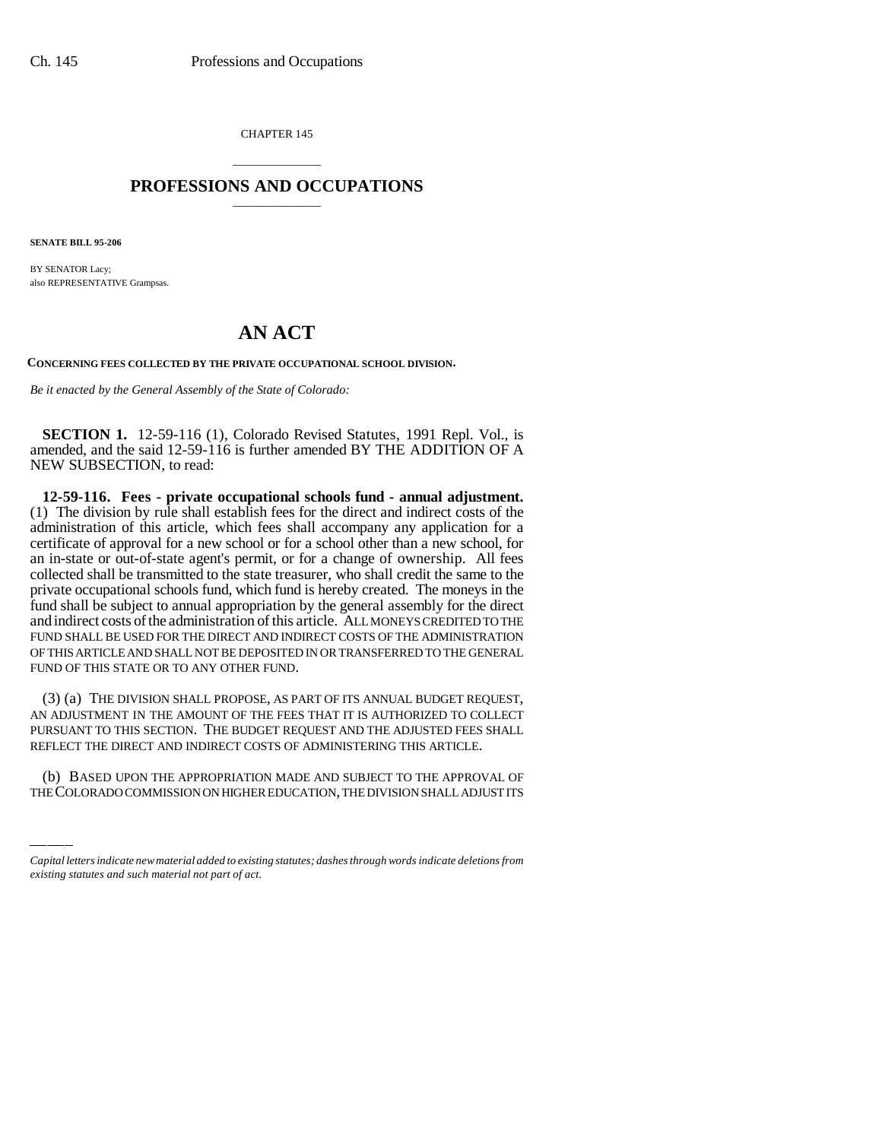CHAPTER 145

## \_\_\_\_\_\_\_\_\_\_\_\_\_\_\_ **PROFESSIONS AND OCCUPATIONS** \_\_\_\_\_\_\_\_\_\_\_\_\_\_\_

**SENATE BILL 95-206**

BY SENATOR Lacy; also REPRESENTATIVE Grampsas.

## **AN ACT**

**CONCERNING FEES COLLECTED BY THE PRIVATE OCCUPATIONAL SCHOOL DIVISION.**

*Be it enacted by the General Assembly of the State of Colorado:*

**SECTION 1.** 12-59-116 (1), Colorado Revised Statutes, 1991 Repl. Vol., is amended, and the said 12-59-116 is further amended BY THE ADDITION OF A NEW SUBSECTION, to read:

**12-59-116. Fees - private occupational schools fund - annual adjustment.** (1) The division by rule shall establish fees for the direct and indirect costs of the administration of this article, which fees shall accompany any application for a certificate of approval for a new school or for a school other than a new school, for an in-state or out-of-state agent's permit, or for a change of ownership. All fees collected shall be transmitted to the state treasurer, who shall credit the same to the private occupational schools fund, which fund is hereby created. The moneys in the fund shall be subject to annual appropriation by the general assembly for the direct and indirect costs of the administration of this article. ALL MONEYS CREDITED TO THE FUND SHALL BE USED FOR THE DIRECT AND INDIRECT COSTS OF THE ADMINISTRATION OF THIS ARTICLE AND SHALL NOT BE DEPOSITED IN OR TRANSFERRED TO THE GENERAL FUND OF THIS STATE OR TO ANY OTHER FUND.

PURSUANT TO THIS SECTION. THE BUDGET REQUEST AND THE ADJUSTED FEES<br>REFLECT THE DIRECT AND INDIRECT COSTS OF ADMINISTERING THIS ARTICLE. (3) (a) THE DIVISION SHALL PROPOSE, AS PART OF ITS ANNUAL BUDGET REQUEST, AN ADJUSTMENT IN THE AMOUNT OF THE FEES THAT IT IS AUTHORIZED TO COLLECT PURSUANT TO THIS SECTION. THE BUDGET REQUEST AND THE ADJUSTED FEES SHALL

(b) BASED UPON THE APPROPRIATION MADE AND SUBJECT TO THE APPROVAL OF THE COLORADO COMMISSION ON HIGHER EDUCATION, THE DIVISION SHALL ADJUST ITS

*Capital letters indicate new material added to existing statutes; dashes through words indicate deletions from existing statutes and such material not part of act.*